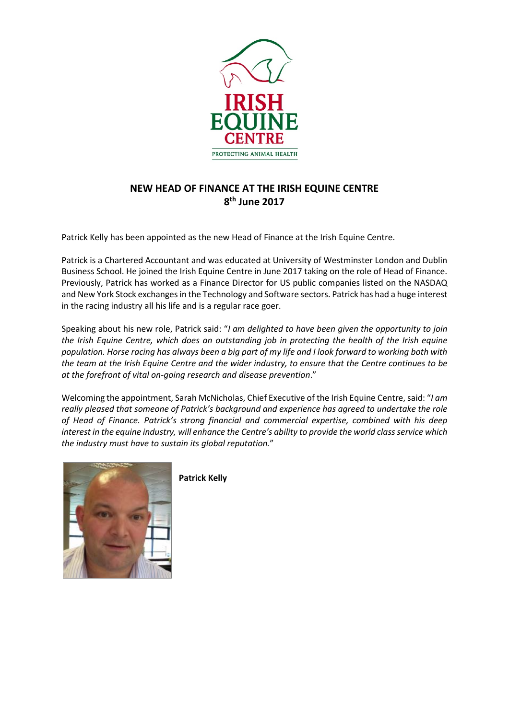

## **NEW HEAD OF FINANCE AT THE IRISH EQUINE CENTRE 8th June 2017**

Patrick Kelly has been appointed as the new Head of Finance at the Irish Equine Centre.

Patrick is a Chartered Accountant and was educated at University of Westminster London and Dublin Business School. He joined the Irish Equine Centre in June 2017 taking on the role of Head of Finance. Previously, Patrick has worked as a Finance Director for US public companies listed on the NASDAQ and New York Stock exchanges in the Technology and Software sectors. Patrick has had a huge interest in the racing industry all his life and is a regular race goer.

Speaking about his new role, Patrick said: "*I am delighted to have been given the opportunity to join the Irish Equine Centre, which does an outstanding job in protecting the health of the Irish equine population. Horse racing has always been a big part of my life and I look forward to working both with the team at the Irish Equine Centre and the wider industry, to ensure that the Centre continues to be at the forefront of vital on-going research and disease prevention*."

Welcoming the appointment, Sarah McNicholas, Chief Executive of the Irish Equine Centre, said: "*I am really pleased that someone of Patrick's background and experience has agreed to undertake the role of Head of Finance. Patrick's strong financial and commercial expertise, combined with his deep interest in the equine industry, will enhance the Centre's ability to provide the world class service which the industry must have to sustain its global reputation.*"



**Patrick Kelly**